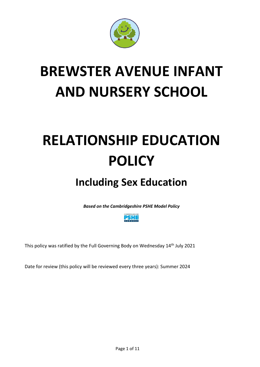

# **BREWSTER AVENUE INFANT AND NURSERY SCHOOL**

# **RELATIONSHIP EDUCATION POLICY**

# **Including Sex Education**

*Based on the Cambridgeshire PSHE Model Policy*



This policy was ratified by the Full Governing Body on Wednesday 14th July 2021

Date for review (this policy will be reviewed every three years): Summer 2024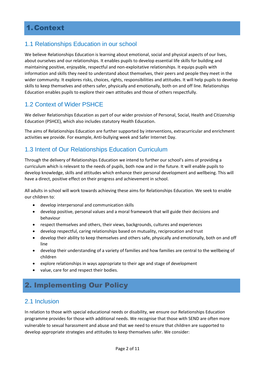# 1.Context

#### 1.1 Relationships Education in our school

We believe Relationships Education is learning about emotional, social and physical aspects of our lives, about ourselves and our relationships. It enables pupils to develop essential life skills for building and maintaining positive, enjoyable, respectful and non-exploitative relationships. It equips pupils with information and skills they need to understand about themselves, their peers and people they meet in the wider community. It explores risks, choices, rights, responsibilities and attitudes. It will help pupils to develop skills to keep themselves and others safer, physically and emotionally, both on and off line. Relationships Education enables pupils to explore their own attitudes and those of others respectfully.

#### 1.2 Context of Wider PSHCE

We deliver Relationships Education as part of our wider provision of Personal, Social, Health and Citizenship Education (PSHCE), which also includes statutory Health Education.

The aims of Relationships Education are further supported by interventions, extracurricular and enrichment activities we provide. For example, Anti-bullying week and Safer Internet Day.

#### 1.3 Intent of Our Relationships Education Curriculum

Through the delivery of Relationships Education we intend to further our school's aims of providing a curriculum which is relevant to the needs of pupils, both now and in the future. It will enable pupils to develop knowledge, skills and attitudes which enhance their personal development and wellbeing. This will have a direct, positive effect on their progress and achievement in school.

All adults in school will work towards achieving these aims for Relationships Education. We seek to enable our children to:

- develop interpersonal and communication skills
- develop positive, personal values and a moral framework that will guide their decisions and behaviour
- respect themselves and others, their views, backgrounds, cultures and experiences
- develop respectful, caring relationships based on mutuality, reciprocation and trust
- develop their ability to keep themselves and others safe, physically and emotionally, both on and off line
- develop their understanding of a variety of families and how families are central to the wellbeing of children
- explore relationships in ways appropriate to their age and stage of development
- value, care for and respect their bodies.

# 2. Implementing Our Policy

#### 2.1 Inclusion

In relation to those with special educational needs or disability, we ensure our Relationships Education programme provides for those with additional needs. We recognise that those with SEND are often more vulnerable to sexual harassment and abuse and that we need to ensure that children are supported to develop appropriate strategies and attitudes to keep themselves safer. We consider: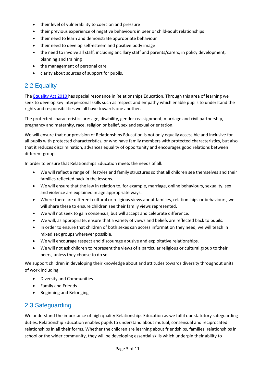- their level of vulnerability to coercion and pressure
- their previous experience of negative behaviours in peer or child-adult relationships
- their need to learn and demonstrate appropriate behaviour
- their need to develop self-esteem and positive body image
- the need to involve all staff, including ancillary staff and parents/carers, in policy development, planning and training
- the management of personal care
- clarity about sources of support for pupils.

## 2.2 Equality

The [Equality Act 2010](http://www.legislation.gov.uk/ukpga/2010/15/contents) has special resonance in Relationships Education. Through this area of learning we seek to develop key interpersonal skills such as respect and empathy which enable pupils to understand the rights and responsibilities we all have towards one another.

The protected characteristics are: age, disability, gender reassignment, marriage and civil partnership, pregnancy and maternity, race, religion or belief, sex and sexual orientation.

We will ensure that our provision of Relationships Education is not only equally accessible and inclusive for all pupils with protected characteristics, or who have family members with protected characteristics, but also that it reduces discrimination, advances equality of opportunity and encourages good relations between different groups.

In order to ensure that Relationships Education meets the needs of all:

- We will reflect a range of lifestyles and family structures so that all children see themselves and their families reflected back in the lessons.
- We will ensure that the law in relation to, for example, marriage, online behaviours, sexuality, sex and violence are explained in age appropriate ways.
- Where there are different cultural or religious views about families, relationships or behaviours, we will share these to ensure children see their family views represented.
- We will not seek to gain consensus, but will accept and celebrate difference.
- We will, as appropriate, ensure that a variety of views and beliefs are reflected back to pupils.
- In order to ensure that children of both sexes can access information they need, we will teach in mixed sex groups wherever possible.
- We will encourage respect and discourage abusive and exploitative relationships.
- We will not ask children to represent the views of a particular religious or cultural group to their peers, unless they choose to do so.

We support children in developing their knowledge about and attitudes towards diversity throughout units of work including:

- Diversity and Communities
- Family and Friends
- **•** Beginning and Belonging

#### 2.3 Safeguarding

We understand the importance of high quality Relationships Education as we fulfil our statutory safeguarding duties. Relationship Education enables pupils to understand about mutual, consensual and reciprocated relationships in all their forms. Whether the children are learning about friendships, families, relationships in school or the wider community, they will be developing essential skills which underpin their ability to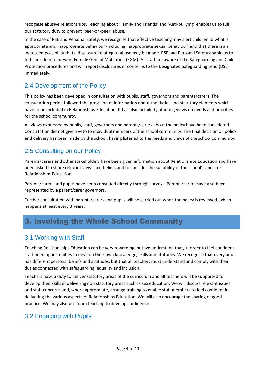recognise abusive relationships. Teaching about 'Family and Friends' and 'Anti-bullying' enables us to fulfil our statutory duty to prevent 'peer-on-peer' abuse.

In the case of RSE and Personal Safety, we recognise that effective teaching may alert children to what is appropriate and inappropriate behaviour (including inappropriate sexual behaviour) and that there is an increased possibility that a disclosure relating to abuse may be made. RSE and Personal Safety enable us to fulfil our duty to prevent Female Genital Mutilation (FGM). All staff are aware of the Safeguarding and Child Protection procedures and will report disclosures or concerns to the Designated Safeguarding Lead (DSL) immediately.

#### 2.4 Development of the Policy

This policy has been developed in consultation with pupils, staff, governors and parents/carers. The consultation period followed the provision of information about the duties and statutory elements which have to be included in Relationships Education. It has also included gathering views on needs and priorities for the school community.

All views expressed by pupils, staff, governors and parents/carers about the policy have been considered. Consultation did not give a veto to individual members of the school community. The final decision on policy and delivery has been made by the school, having listened to the needs and views of the school community.

## 2.5 Consulting on our Policy

Parents/carers and other stakeholders have been given information about Relationships Education and have been asked to share relevant views and beliefs and to consider the suitability of the school's aims for Relationships Education.

Parents/carers and pupils have been consulted directly through surveys. Parents/carers have also been represented by a parent/carer governors.

Further consultation with parents/carers and pupils will be carried out when the policy is reviewed, which happens at least every 3 years.

# 3. Involving the Whole School Community

#### 3.1 Working with Staff

Teaching Relationships Education can be very rewarding, but we understand that, in order to feel confident, staff need opportunities to develop their own knowledge, skills and attitudes. We recognise that every adult has different personal beliefs and attitudes, but that all teachers must understand and comply with their duties connected with safeguarding, equality and inclusion.

Teachers have a duty to deliver statutory areas of the curriculum and all teachers will be supported to develop their skills in delivering non statutory areas such as sex education. We will discuss relevant issues and staff concerns and, where appropriate, arrange training to enable staff members to feel confident in delivering the various aspects of Relationships Education. We will also encourage the sharing of good practice. We may also use team teaching to develop confidence.

#### 3.2 Engaging with Pupils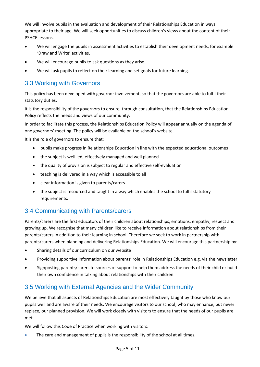We will involve pupils in the evaluation and development of their Relationships Education in ways appropriate to their age. We will seek opportunities to discuss children's views about the content of their PSHCE lessons.

- We will engage the pupils in assessment activities to establish their development needs, for example 'Draw and Write' activities.
- We will encourage pupils to ask questions as they arise.
- We will ask pupils to reflect on their learning and set goals for future learning.

#### 3.3 Working with Governors

This policy has been developed with governor involvement, so that the governors are able to fulfil their statutory duties.

It is the responsibility of the governors to ensure, through consultation, that the Relationships Education Policy reflects the needs and views of our community.

In order to facilitate this process, the Relationships Education Policy will appear annually on the agenda of one governors' meeting. The policy will be available on the school's website.

It is the role of governors to ensure that:

- pupils make progress in Relationships Education in line with the expected educational outcomes
- the subject is well led, effectively managed and well planned
- the quality of provision is subject to regular and effective self-evaluation
- teaching is delivered in a way which is accessible to all
- clear information is given to parents/carers
- the subject is resourced and taught in a way which enables the school to fulfil statutory requirements.

#### 3.4 Communicating with Parents/carers

Parents/carers are the first educators of their children about relationships, emotions, empathy, respect and growing up. We recognise that many children like to receive information about relationships from their parents/carers in addition to their learning in school. Therefore we seek to work in partnership with parents/carers when planning and delivering Relationships Education. We will encourage this partnership by:

- Sharing details of our curriculum on our website
- Providing supportive information about parents' role in Relationships Education e.g. via the newsletter
- Signposting parents/carers to sources of support to help them address the needs of their child or build their own confidence in talking about relationships with their children.

#### 3.5 Working with External Agencies and the Wider Community

We believe that all aspects of Relationships Education are most effectively taught by those who know our pupils well and are aware of their needs. We encourage visitors to our school, who may enhance, but never replace, our planned provision. We will work closely with visitors to ensure that the needs of our pupils are met.

We will follow this Code of Practice when working with visitors:

The care and management of pupils is the responsibility of the school at all times.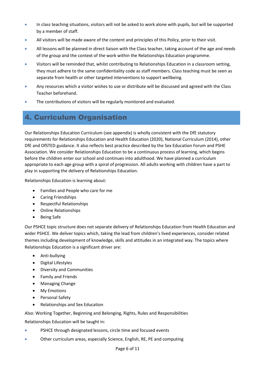- In class teaching situations, visitors will not be asked to work alone with pupils, but will be supported by a member of staff.
- All visitors will be made aware of the content and principles of this Policy, prior to their visit.
- **All lessons will be planned in direct liaison with the Class teacher, taking account of the age and needs** of the group and the context of the work within the Relationships Education programme.
- Visitors will be reminded that, whilst contributing to Relationships Education in a classroom setting, they must adhere to the same confidentiality code as staff members. Class teaching must be seen as separate from health or other targeted interventions to support wellbeing.
- Any resources which a visitor wishes to use or distribute will be discussed and agreed with the Class Teacher beforehand.
- The contributions of visitors will be regularly monitored and evaluated.

# 4. Curriculum Organisation

Our Relationships Education Curriculum (see appendix) is wholly consistent with the DfE statutory requirements for Relationships Education and Health Education (2020), National Curriculum (2014), other DfE and OfSTED guidance. It also reflects best practice described by the Sex Education Forum and PSHE Association. We consider Relationships Education to be a continuous process of learning, which begins before the children enter our school and continues into adulthood. We have planned a curriculum appropriate to each age group with a spiral of progression. All adults working with children have a part to play in supporting the delivery of Relationships Education.

Relationships Education is learning about:

- Families and People who care for me
- Caring Friendships
- Respectful Relationships
- Online Relationships
- Being Safe

Our PSHCE topic structure does not separate delivery of Relationships Education from Health Education and wider PSHCE. We deliver topics which, taking the lead from children's lived experiences, consider related themes including development of knowledge, skills and attitudes in an integrated way. The topics where Relationships Education is a significant driver are:

- Anti-bullying
- Digital Lifestyles
- Diversity and Communities
- Family and Friends
- Managing Change
- My Emotions
- Personal Safety
- Relationships and Sex Education

Also: Working Together, Beginning and Belonging, Rights, Rules and Responsibilities

Relationships Education will be taught in:

- PSHCE through designated lessons, circle time and focused events
- Other curriculum areas, especially Science, English, RE, PE and computing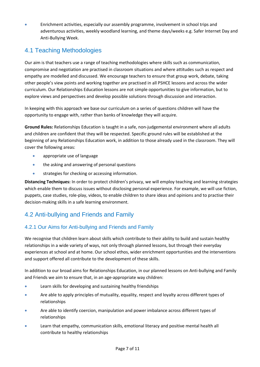Enrichment activities, especially our assembly programme, involvement in school trips and adventurous activities, weekly woodland learning, and theme days/weeks e.g. Safer Internet Day and Anti-Bullying Week.

# 4.1 Teaching Methodologies

Our aim is that teachers use a range of teaching methodologies where skills such as communication, compromise and negotiation are practised in classroom situations and where attitudes such as respect and empathy are modelled and discussed. We encourage teachers to ensure that group work, debate, taking other people's view points and working together are practised in all PSHCE lessons and across the wider curriculum. Our Relationships Education lessons are not simple opportunities to give information, but to explore views and perspectives and develop possible solutions through discussion and interaction.

In keeping with this approach we base our curriculum on a series of questions children will have the opportunity to engage with, rather than banks of knowledge they will acquire.

**Ground Rules:** Relationships Education is taught in a safe, non-judgemental environment where all adults and children are confident that they will be respected. Specific ground rules will be established at the beginning of any Relationships Education work, in addition to those already used in the classroom. They will cover the following areas:

- appropriate use of language
- **the asking and answering of personal questions**
- strategies for checking or accessing information.

**Distancing Techniques:** In order to protect children's privacy, we will employ teaching and learning strategies which enable them to discuss issues without disclosing personal experience. For example, we will use fiction, puppets, case studies, role-play, videos, to enable children to share ideas and opinions and to practise their decision-making skills in a safe learning environment.

#### 4.2 Anti-bullying and Friends and Family

#### 4.2.1 Our Aims for Anti-bullying and Friends and Family

We recognise that children learn about skills which contribute to their ability to build and sustain healthy relationships in a wide variety of ways, not only through planned lessons, but through their everyday experiences at school and at home. Our school ethos, wider enrichment opportunities and the interventions and support offered all contribute to the development of these skills.

In addition to our broad aims for Relationships Education, in our planned lessons on Anti-bullying and Family and Friends we aim to ensure that, in an age-appropriate way children:

- Learn skills for developing and sustaining healthy friendships
- Are able to apply principles of mutuality, equality, respect and loyalty across different types of relationships
- Are able to identify coercion, manipulation and power imbalance across different types of relationships
- Learn that empathy, communication skills, emotional literacy and positive mental health all contribute to healthy relationships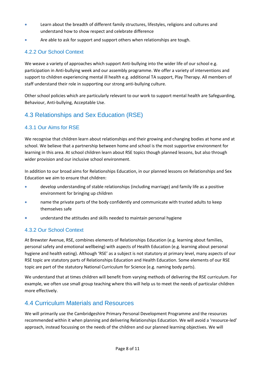- Learn about the breadth of different family structures, lifestyles, religions and cultures and understand how to show respect and celebrate difference
- Are able to ask for support and support others when relationships are tough.

#### 4.2.2 Our School Context

We weave a variety of approaches which support Anti-bullying into the wider life of our school e.g. participation in Anti-bullying week and our assembly programme. We offer a variety of interventions and support to children experiencing mental ill health e.g. additional TA support, Play Therapy. All members of staff understand their role in supporting our strong anti-bullying culture.

Other school policies which are particularly relevant to our work to support mental health are Safeguarding, Behaviour, Anti-bullying, Acceptable Use.

#### 4.3 Relationships and Sex Education (RSE)

#### 4.3.1 Our Aims for RSE

We recognise that children learn about relationships and their growing and changing bodies at home and at school. We believe that a partnership between home and school is the most supportive environment for learning in this area. At school children learn about RSE topics though planned lessons, but also through wider provision and our inclusive school environment.

In addition to our broad aims for Relationships Education, in our planned lessons on Relationships and Sex Education we aim to ensure that children:

- develop understanding of stable relationships (including marriage) and family life as a positive environment for bringing up children
- name the private parts of the body confidently and communicate with trusted adults to keep themselves safe
- **•** understand the attitudes and skills needed to maintain personal hygiene

#### 4.3.2 Our School Context

At Brewster Avenue, RSE, combines elements of Relationships Education (e.g. learning about families, personal safety and emotional wellbeing) with aspects of Health Education (e.g. learning about personal hygiene and health eating). Although 'RSE' as a subject is not statutory at primary level, many aspects of our RSE topic are statutory parts of Relationships Education and Health Education. Some elements of our RSE topic are part of the statutory National Curriculum for Science (e.g. naming body parts).

We understand that at times children will benefit from varying methods of delivering the RSE curriculum. For example, we often use small group teaching where this will help us to meet the needs of particular children more effectively.

#### 4.4 Curriculum Materials and Resources

We will primarily use the Cambridgeshire Primary Personal Development Programme and the resources recommended within it when planning and delivering Relationships Education. We will avoid a 'resource-led' approach, instead focussing on the needs of the children and our planned learning objectives. We will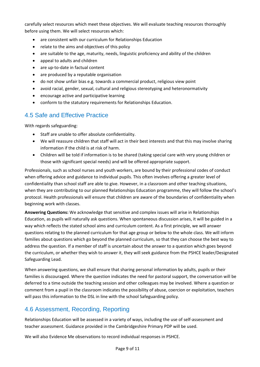carefully select resources which meet these objectives. We will evaluate teaching resources thoroughly before using them. We will select resources which:

- are consistent with our curriculum for Relationships Education
- relate to the aims and objectives of this policy
- are suitable to the age, maturity, needs, linguistic proficiency and ability of the children
- appeal to adults and children
- are up-to-date in factual content
- are produced by a reputable organisation
- do not show unfair bias e.g. towards a commercial product, religious view point
- avoid racial, gender, sexual, cultural and religious stereotyping and heteronormativity
- encourage active and participative learning
- conform to the statutory requirements for Relationships Education.

#### 4.5 Safe and Effective Practice

With regards safeguarding:

- Staff are unable to offer absolute confidentiality.
- We will reassure children that staff will act in their best interests and that this may involve sharing information if the child is at risk of harm.
- Children will be told if information is to be shared (taking special care with very young children or those with significant special needs) and will be offered appropriate support.

Professionals, such as school nurses and youth workers, are bound by their professional codes of conduct when offering advice and guidance to individual pupils. This often involves offering a greater level of confidentiality than school staff are able to give. However, in a classroom and other teaching situations, when they are contributing to our planned Relationships Education programme, they will follow the school's protocol. Health professionals will ensure that children are aware of the boundaries of confidentiality when beginning work with classes.

**Answering Questions:** We acknowledge that sensitive and complex issues will arise in Relationships Education, as pupils will naturally ask questions. When spontaneous discussion arises, it will be guided in a way which reflects the stated school aims and curriculum content. As a first principle, we will answer questions relating to the planned curriculum for that age group or below to the whole class. We will inform families about questions which go beyond the planned curriculum, so that they can choose the best way to address the question. If a member of staff is uncertain about the answer to a question which goes beyond the curriculum, or whether they wish to answer it, they will seek guidance from the PSHCE leader/Designated Safeguarding Lead.

When answering questions, we shall ensure that sharing personal information by adults, pupils or their families is discouraged. Where the question indicates the need for pastoral support, the conversation will be deferred to a time outside the teaching session and other colleagues may be involved. Where a question or comment from a pupil in the classroom indicates the possibility of abuse, coercion or exploitation, teachers will pass this information to the DSL in line with the school Safeguarding policy.

#### 4.6 Assessment, Recording, Reporting

Relationships Education will be assessed in a variety of ways, including the use of self-assessment and teacher assessment. Guidance provided in the Cambridgeshire Primary PDP will be used.

We will also Evidence Me observations to record individual responses in PSHCE.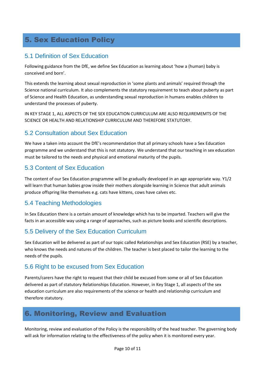# 5. Sex Education Policy

#### 5.1 Definition of Sex Education

Following guidance from the DfE, we define Sex Education as learning about 'how a (human) baby is conceived and born'.

This extends the learning about sexual reproduction in 'some plants and animals' required through the Science national curriculum. It also complements the statutory requirement to teach about puberty as part of Science and Health Education, as understanding sexual reproduction in humans enables children to understand the processes of puberty.

IN KEY STAGE 1, ALL ASPECTS OF THE SEX EDUCATION CURRICULUM ARE ALSO REQUIREMEMTS OF THE SCIENCE OR HEALTH AND RELATIONSHIP CURRICULUM AND THEREFORE STATUTORY.

#### 5.2 Consultation about Sex Education

We have a taken into account the DfE's recommendation that all primary schools have a Sex Education programme and we understand that this is not statutory. We understand that our teaching in sex education must be tailored to the needs and physical and emotional maturity of the pupils.

#### 5.3 Content of Sex Education

The content of our Sex Education programme will be gradually developed in an age appropriate way. Y1/2 will learn that human babies grow inside their mothers alongside learning in Science that adult animals produce offspring like themselves e.g. cats have kittens, cows have calves etc.

#### 5.4 Teaching Methodologies

In Sex Education there is a certain amount of knowledge which has to be imparted. Teachers will give the facts in an accessible way using a range of approaches, such as picture books and scientific descriptions.

#### 5.5 Delivery of the Sex Education Curriculum

Sex Education will be delivered as part of our topic called Relationships and Sex Education (RSE) by a teacher, who knows the needs and natures of the children. The teacher is best placed to tailor the learning to the needs of the pupils.

#### 5.6 Right to be excused from Sex Education

Parents/carers have the right to request that their child be excused from some or all of Sex Education delivered as part of statutory Relationships Education. However, in Key Stage 1, all aspects of the sex education curriculum are also requirements of the science or health and relationship curriculum and therefore statutory.

# 6. Monitoring, Review and Evaluation

Monitoring, review and evaluation of the Policy is the responsibility of the head teacher. The governing body will ask for information relating to the effectiveness of the policy when it is monitored every year.